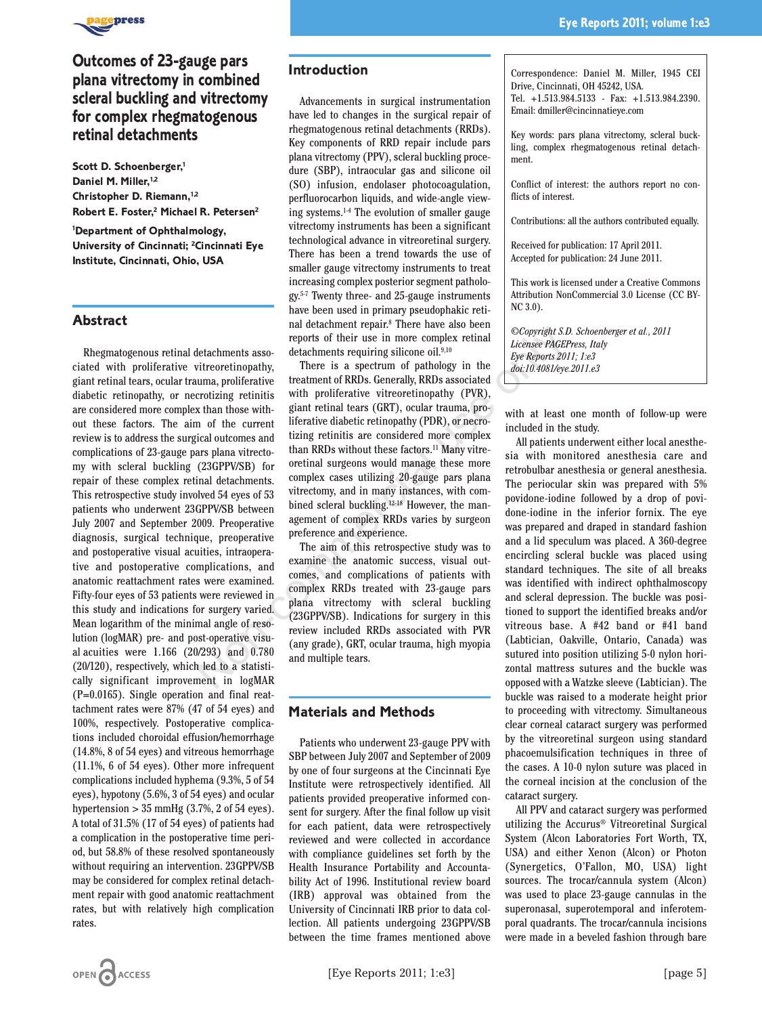

# **Outcomes of 23-gauge pars plana vitrectomy in combined scleral buckling and vitrectomy for complex rhegmatogenous retinal detachments**

**Scott D. Schoenberger,1 Daniel M. Miller,1,2 Christopher D. Riemann,1,2 Robert E. Foster,2 Michael R. Petersen2**

**1 Department of Ophthalmology, University of Cincinnati; 2 Cincinnati Eye Institute, Cincinnati, Ohio, USA**

### **Abstract**

Rhegmatogenous retinal detachments associated with proliferative vitreoretinopathy, giant retinal tears, ocular trauma, proliferative diabetic retinopathy, or necrotizing retinitis are considered more complex than those without these factors. The aim of the current review is to address the surgical outcomes and complications of 23-gauge pars plana vitrectomy with scleral buckling (23GPPV/SB) for repair of these complex retinal detachments. This retrospective study involved 54 eyes of 53 patients who underwent 23GPPV/SB between July 2007 and September 2009. Preoperative diagnosis, surgical technique, preoperative and postoperative visual acuities, intraoperative and postoperative complications, and anatomic reattachment rates were examined. Fifty-four eyes of 53 patients were reviewed in this study and indications for surgery varied. Mean logarithm of the minimal angle of resolution (logMAR) pre- and post-operative visual acuities were 1.166 (20/293) and 0.780 (20/120), respectively, which led to a statistically significant improvement in logMAR (P=0.0165). Single operation and final reattachment rates were 87% (47 of 54 eyes) and 100%, respectively. Postoperative complications included choroidal effusion/hemorrhage (14.8%, 8 of 54 eyes) and vitreous hemorrhage (11.1%, 6 of 54 eyes). Other more infrequent complications included hyphema (9.3%, 5 of 54 eyes), hypotony (5.6%, 3 of 54 eyes) and ocular hypertension  $> 35$  mmHg (3.7%, 2 of 54 eyes). A total of 31.5% (17 of 54 eyes) of patients had a complication in the postoperative time period, but 58.8% of these resolved spontaneously without requiring an intervention. 23GPPV/SB may be considered for complex retinal detachment repair with good anatomic reattachment rates, but with relatively high complication rates.

#### **Introduction**

Advancements in surgical instrumentation have led to changes in the surgical repair of rhegmatogenous retinal detachments (RRDs). Key components of RRD repair include pars plana vitrectomy (PPV), scleral buckling procedure (SBP), intraocular gas and silicone oil (SO) infusion, endolaser photocoagulation, perfluorocarbon liquids, and wide-angle viewing systems.1-4 The evolution of smaller gauge vitrectomy instruments has been a significant technological advance in vitreoretinal surgery. There has been a trend towards the use of smaller gauge vitrectomy instruments to treat increasing complex posterior segment pathology.5-7 Twenty three- and 25-gauge instruments have been used in primary pseudophakic retinal detachment repair.8 There have also been reports of their use in more complex retinal detachments requiring silicone oil.9,10

There is a spectrum of pathology in the treatment of RRDs. Generally, RRDs associated with proliferative vitreoretinopathy (PVR), giant retinal tears (GRT), ocular trauma, proliferative diabetic retinopathy (PDR), or necrotizing retinitis are considered more complex than RRDs without these factors.<sup>11</sup> Many vitreoretinal surgeons would manage these more complex cases utilizing 20-gauge pars plana vitrectomy, and in many instances, with combined scleral buckling.12-18 However, the management of complex RRDs varies by surgeon preference and experience. Note that the same of congreliation and the same of their use in more complex retinal<br>
detachments associated the same spectrum of pathology in the Every interest is a spectrum of pathology in the Every same strate treatm

The aim of this retrospective study was to examine the anatomic success, visual outcomes, and complications of patients with complex RRDs treated with 23-gauge pars plana vitrectomy with scleral buckling (23GPPV/SB). Indications for surgery in this review included RRDs associated with PVR (any grade), GRT, ocular trauma, high myopia and multiple tears.

## **Materials and Methods**

Patients who underwent 23-gauge PPV with SBP between July 2007 and September of 2009 by one of four surgeons at the Cincinnati Eye Institute were retrospectively identified. All patients provided preoperative informed consent for surgery. After the final follow up visit for each patient, data were retrospectively reviewed and were collected in accordance with compliance guidelines set forth by the Health Insurance Portability and Accountability Act of 1996. Institutional review board (IRB) approval was obtained from the University of Cincinnati IRB prior to data collection. All patients undergoing 23GPPV/SB between the time frames mentioned above Key words: pars plana vitrectomy, scleral buckling, complex rhegmatogenous retinal detachment.

Conflict of interest: the authors report no conflicts of interest.

Contributions: all the authors contributed equally.

Received for publication: 17 April 2011. Accepted for publication: 24 June 2011.

This work is licensed under a Creative Commons Attribution NonCommercial 3.0 License (CC BY-NC 3.0).

*©Copyright S.D. Schoenberger et al., 2011 Licensee PAGEPress, Italy Eye Reports 2011; 1:e3 doi:10.4081/eye.2011.e3*

with at least one month of follow-up were included in the study.

All patients underwent either local anesthesia with monitored anesthesia care and retrobulbar anesthesia or general anesthesia. The periocular skin was prepared with 5% povidone-iodine followed by a drop of povidone-iodine in the inferior fornix. The eye was prepared and draped in standard fashion and a lid speculum was placed. A 360-degree encircling scleral buckle was placed using standard techniques. The site of all breaks was identified with indirect ophthalmoscopy and scleral depression. The buckle was positioned to support the identified breaks and/or vitreous base. A #42 band or #41 band (Labtician, Oakville, Ontario, Canada) was sutured into position utilizing 5-0 nylon horizontal mattress sutures and the buckle was opposed with a Watzke sleeve (Labtician). The buckle was raised to a moderate height prior to proceeding with vitrectomy. Simultaneous clear corneal cataract surgery was performed by the vitreoretinal surgeon using standard phacoemulsification techniques in three of the cases. A 10-0 nylon suture was placed in the corneal incision at the conclusion of the cataract surgery.

All PPV and cataract surgery was performed utilizing the Accurus® Vitreoretinal Surgical System (Alcon Laboratories Fort Worth, TX, USA) and either Xenon (Alcon) or Photon (Synergetics, O'Fallon, MO, USA) light sources. The trocar/cannula system (Alcon) was used to place 23-gauge cannulas in the superonasal, superotemporal and inferotemporal quadrants. The trocar/cannula incisions were made in a beveled fashion through bare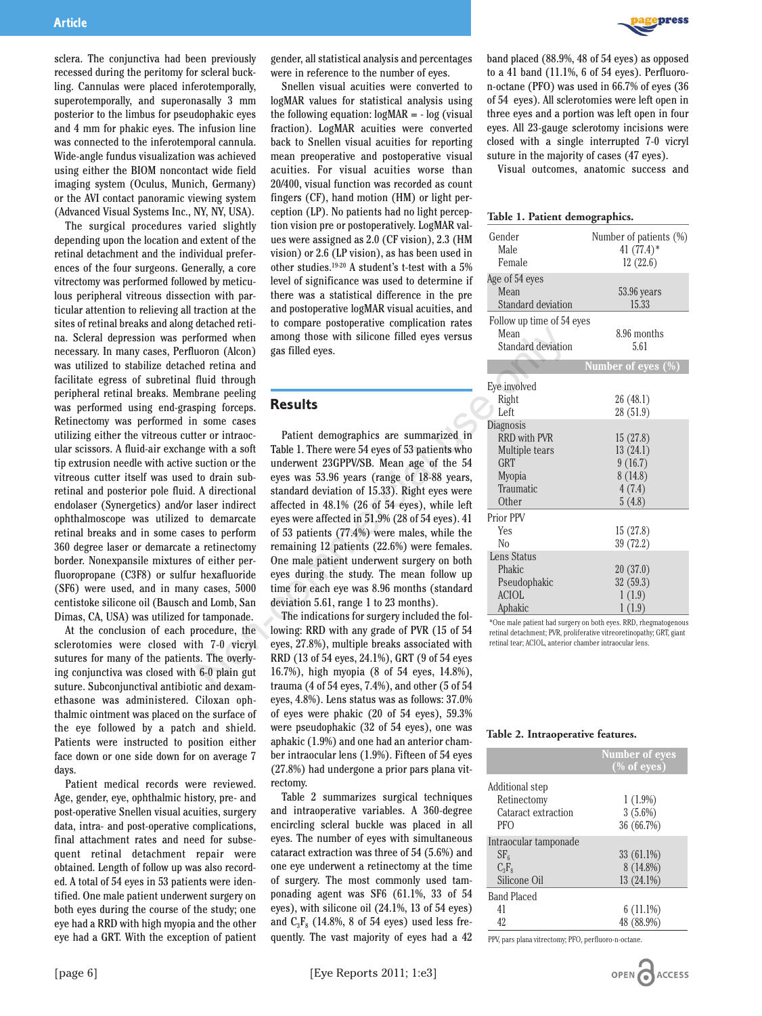

sclera. The conjunctiva had been previously recessed during the peritomy for scleral buckling. Cannulas were placed inferotemporally, superotemporally, and superonasally 3 mm posterior to the limbus for pseudophakic eyes and 4 mm for phakic eyes. The infusion line was connected to the inferotemporal cannula. Wide-angle fundus visualization was achieved using either the BIOM noncontact wide field imaging system (Oculus, Munich, Germany) or the AVI contact panoramic viewing system (Advanced Visual Systems Inc., NY, NY, USA).

The surgical procedures varied slightly depending upon the location and extent of the retinal detachment and the individual preferences of the four surgeons. Generally, a core vitrectomy was performed followed by meticulous peripheral vitreous dissection with particular attention to relieving all traction at the sites of retinal breaks and along detached retina. Scleral depression was performed when necessary. In many cases, Perfluoron (Alcon) was utilized to stabilize detached retina and facilitate egress of subretinal fluid through peripheral retinal breaks. Membrane peeling was performed using end-grasping forceps. Retinectomy was performed in some cases utilizing either the vitreous cutter or intraocular scissors. A fluid-air exchange with a soft tip extrusion needle with active suction or the vitreous cutter itself was used to drain subretinal and posterior pole fluid. A directional endolaser (Synergetics) and/or laser indirect ophthalmoscope was utilized to demarcate retinal breaks and in some cases to perform 360 degree laser or demarcate a retinectomy border. Nonexpansile mixtures of either perfluoropropane (C3F8) or sulfur hexafluoride (SF6) were used, and in many cases, 5000 centistoke silicone oil (Bausch and Lomb, San Dimas, CA, USA) was utilized for tamponade.

At the conclusion of each procedure, the sclerotomies were closed with 7-0 vicryl sutures for many of the patients. The overlying conjunctiva was closed with 6-0 plain gut suture. Subconjunctival antibiotic and dexamethasone was administered. Ciloxan ophthalmic ointment was placed on the surface of the eye followed by a patch and shield. Patients were instructed to position either face down or one side down for on average 7 days.

Patient medical records were reviewed. Age, gender, eye, ophthalmic history, pre- and post-operative Snellen visual acuities, surgery data, intra- and post-operative complications, final attachment rates and need for subsequent retinal detachment repair were obtained. Length of follow up was also recorded. A total of 54 eyes in 53 patients were identified. One male patient underwent surgery on both eyes during the course of the study; one eye had a RRD with high myopia and the other eye had a GRT. With the exception of patient gender, all statistical analysis and percentages were in reference to the number of eyes.

Snellen visual acuities were converted to logMAR values for statistical analysis using the following equation:  $log<sub>MR</sub> = - log$  (visual fraction). LogMAR acuities were converted back to Snellen visual acuities for reporting mean preoperative and postoperative visual acuities. For visual acuities worse than 20/400, visual function was recorded as count fingers (CF), hand motion (HM) or light perception (LP). No patients had no light perception vision pre or postoperatively. LogMAR values were assigned as 2.0 (CF vision), 2.3 (HM vision) or 2.6 (LP vision), as has been used in other studies.19-20 A student's t-test with a 5% level of significance was used to determine if there was a statistical difference in the pre and postoperative logMAR visual acuities, and to compare postoperative complication rates among those with silicone filled eyes versus gas filled eyes.

### **Results**

Patient demographics are summarized in Table 1. There were 54 eyes of 53 patients who underwent 23GPPV/SB. Mean age of the 54 eyes was 53.96 years (range of 18-88 years, standard deviation of 15.33). Right eyes were affected in 48.1% (26 of 54 eyes), while left eyes were affected in 51.9% (28 of 54 eyes). 41 of 53 patients (77.4%) were males, while the remaining 12 patients (22.6%) were females. One male patient underwent surgery on both eyes during the study. The mean follow up time for each eye was 8.96 months (standard deviation 5.61, range 1 to 23 months). Formed when among those with silicone filled eyes versus<br>
Mean<br>
formed when among those with silicone filled eyes versus<br>
Mean<br>
that and deviation<br>
fluid through<br>
fluid through<br>
fluid through<br>
fluid through<br>
fluid through

The indications for surgery included the following: RRD with any grade of PVR (15 of 54 eyes, 27.8%), multiple breaks associated with RRD (13 of 54 eyes, 24.1%), GRT (9 of 54 eyes 16.7%), high myopia (8 of 54 eyes, 14.8%), trauma (4 of 54 eyes, 7.4%), and other (5 of 54 eyes, 4.8%). Lens status was as follows: 37.0% of eyes were phakic (20 of 54 eyes), 59.3% were pseudophakic (32 of 54 eyes), one was aphakic (1.9%) and one had an anterior chamber intraocular lens (1.9%). Fifteen of 54 eyes (27.8%) had undergone a prior pars plana vitrectomy.

Table 2 summarizes surgical techniques and intraoperative variables. A 360-degree encircling scleral buckle was placed in all eyes. The number of eyes with simultaneous cataract extraction was three of 54 (5.6%) and one eye underwent a retinectomy at the time of surgery. The most commonly used tamponading agent was SF6 (61.1%, 33 of 54 eyes), with silicone oil (24.1%, 13 of 54 eyes) and  $C_3F_8$  (14.8%, 8 of 54 eyes) used less frequently. The vast majority of eyes had a 42



Visual outcomes, anatomic success and

#### **Table 1. Patient demographics.**

| Gender<br>Male<br>Female  | Number of patients (%)<br>41 $(77.4)$ *<br>12(22.6) |
|---------------------------|-----------------------------------------------------|
| Age of 54 eyes            |                                                     |
| Mean                      | 53.96 years                                         |
| Standard deviation        | 15.33                                               |
| Follow up time of 54 eyes |                                                     |
| Mean                      | 8.96 months                                         |
| Standard deviation        | 5.61                                                |
|                           | Number of eyes (%)                                  |
| Eye involved              |                                                     |
| Right                     | 26 (48.1)                                           |
| Left                      | 28 (51.9)                                           |
| Diagnosis                 |                                                     |
| <b>RRD</b> with PVR       | 15(27.8)                                            |
| Multiple tears            | 13(24.1)                                            |
| <b>GRT</b>                | 9(16.7)                                             |
| <b>Myopia</b>             | 8(14.8)                                             |
| Traumatic                 | 4(7.4)                                              |
| Other                     | 5(4.8)                                              |
| Prior PPV                 |                                                     |
| Yes                       | 15(27.8)                                            |
| Nο                        | 39 (72.2)                                           |
| Lens Status               |                                                     |
| Phakic                    | 20(37.0)                                            |
| Pseudophakic              | 32 (59.3)                                           |
| <b>ACIOL</b>              | 1(1.9)                                              |
| Aphakic                   | 1(1.9)                                              |

\*One male patient had surgery on both eyes. RRD, rhegmatogenous retinal detachment; PVR, proliferative vitreoretinopathy; GRT, giant retinal tear; ACIOL, anterior chamber intraocular lens.

#### **Table 2. Intraoperative features.**

|                       | <b>Number of eyes</b> |
|-----------------------|-----------------------|
|                       | $(\%$ of eyes)        |
| Additional step       |                       |
| Retinectomy           | $1(1.9\%)$            |
| Cataract extraction   | $3(5.6\%)$            |
| <b>PFO</b>            | 36 (66.7%)            |
| Intraocular tamponade |                       |
| $SF_{6}$              | 33 (61.1%)            |
| $C_3F_8$              | 8 (14.8%)             |
| Silicone Oil          | 13 (24.1%)            |
| <b>Band Placed</b>    |                       |
| 41                    | $6(11.1\%)$           |
| 42                    | 48 (88.9%)            |

PPV, pars plana vitrectomy; PFO, perfluoro-n-octane.

OPEN ACCESS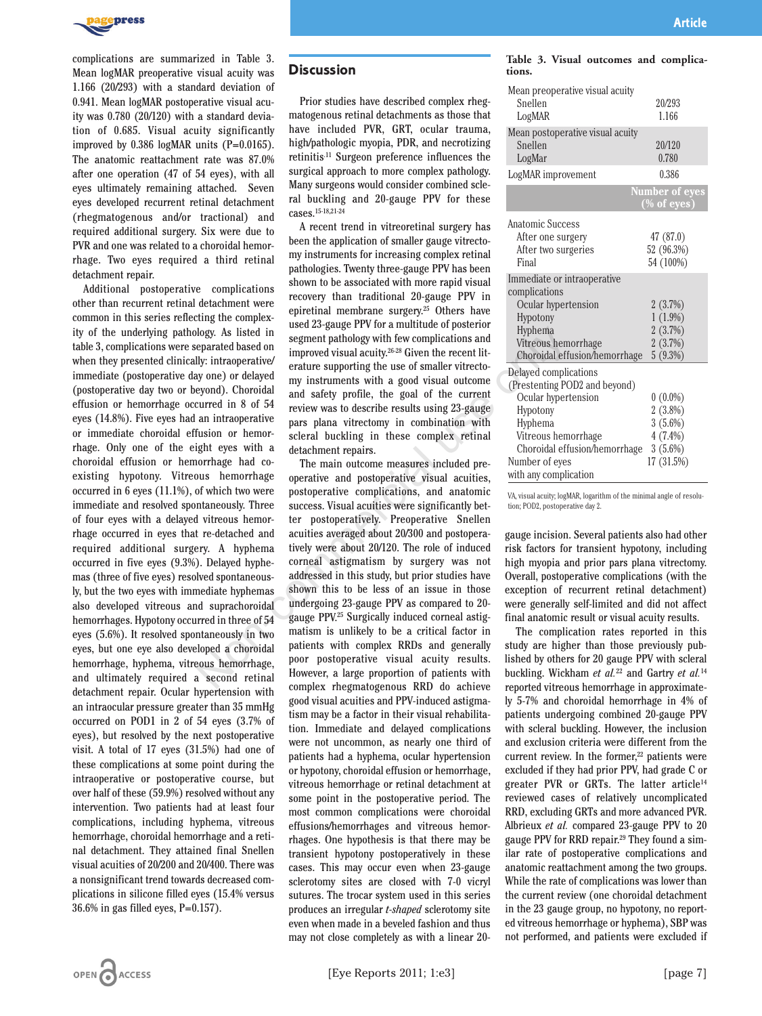

complications are summarized in Table 3. Mean logMAR preoperative visual acuity was 1.166 (20/293) with a standard deviation of 0.941. Mean logMAR postoperative visual acuity was 0.780 (20/120) with a standard deviation of 0.685. Visual acuity significantly improved by  $0.386$  logMAR units (P= $0.0165$ ). The anatomic reattachment rate was 87.0% after one operation (47 of 54 eyes), with all eyes ultimately remaining attached. Seven eyes developed recurrent retinal detachment (rhegmatogenous and/or tractional) and required additional surgery. Six were due to PVR and one was related to a choroidal hemorrhage. Two eyes required a third retinal detachment repair.

Additional postoperative complications other than recurrent retinal detachment were common in this series reflecting the complexity of the underlying pathology. As listed in table 3, complications were separated based on when they presented clinically: intraoperative/ immediate (postoperative day one) or delayed (postoperative day two or beyond). Choroidal effusion or hemorrhage occurred in 8 of 54 eyes (14.8%). Five eyes had an intraoperative or immediate choroidal effusion or hemorrhage. Only one of the eight eyes with a choroidal effusion or hemorrhage had coexisting hypotony. Vitreous hemorrhage occurred in 6 eyes (11.1%), of which two were immediate and resolved spontaneously. Three of four eyes with a delayed vitreous hemorrhage occurred in eyes that re-detached and required additional surgery. A hyphema occurred in five eyes (9.3%). Delayed hyphemas (three of five eyes) resolved spontaneously, but the two eyes with immediate hyphemas also developed vitreous and suprachoroidal hemorrhages. Hypotony occurred in three of 54 eyes (5.6%). It resolved spontaneously in two eyes, but one eye also developed a choroidal hemorrhage, hyphema, vitreous hemorrhage, and ultimately required a second retinal detachment repair. Ocular hypertension with an intraocular pressure greater than 35 mmHg occurred on POD1 in 2 of 54 eyes (3.7% of eyes), but resolved by the next postoperative visit. A total of 17 eyes (31.5%) had one of these complications at some point during the intraoperative or postoperative course, but over half of these (59.9%) resolved without any intervention. Two patients had at least four complications, including hyphema, vitreous hemorrhage, choroidal hemorrhage and a retinal detachment. They attained final Snellen visual acuities of 20/200 and 20/400. There was a nonsignificant trend towards decreased complications in silicone filled eyes (15.4% versus 36.6% in gas filled eyes, P=0.157).

### **Discussion**

Prior studies have described complex rhegmatogenous retinal detachments as those that have included PVR, GRT, ocular trauma, high/pathologic myopia, PDR, and necrotizing retinitis.11 Surgeon preference influences the surgical approach to more complex pathology. Many surgeons would consider combined scleral buckling and 20-gauge PPV for these cases.15-18,21-24

A recent trend in vitreoretinal surgery has been the application of smaller gauge vitrectomy instruments for increasing complex retinal pathologies. Twenty three-gauge PPV has been shown to be associated with more rapid visual recovery than traditional 20-gauge PPV in epiretinal membrane surgery.25 Others have used 23-gauge PPV for a multitude of posterior segment pathology with few complications and improved visual acuity.26-28 Given the recent literature supporting the use of smaller vitrectomy instruments with a good visual outcome and safety profile, the goal of the current review was to describe results using 23-gauge pars plana vitrectomy in combination with scleral buckling in these complex retinal detachment repairs.

The main outcome measures included preoperative and postoperative visual acuities, postoperative complications, and anatomic success. Visual acuities were significantly better postoperatively. Preoperative Snellen acuities averaged about 20/300 and postoperatively were about 20/120. The role of induced corneal astigmatism by surgery was not addressed in this study, but prior studies have shown this to be less of an issue in those undergoing 23-gauge PPV as compared to 20 gauge PPV.25 Surgically induced corneal astigmatism is unlikely to be a critical factor in patients with complex RRDs and generally poor postoperative visual acuity results. However, a large proportion of patients with complex rhegmatogenous RRD do achieve good visual acuities and PPV-induced astigmatism may be a factor in their visual rehabilitation. Immediate and delayed complications were not uncommon, as nearly one third of patients had a hyphema, ocular hypertension or hypotony, choroidal effusion or hemorrhage, vitreous hemorrhage or retinal detachment at some point in the postoperative period. The most common complications were choroidal effusions/hemorrhages and vitreous hemorrhages. One hypothesis is that there may be transient hypotony postoperatively in these cases. This may occur even when 23-gauge sclerotomy sites are closed with 7-0 vicryl sutures. The trocar system used in this series produces an irregular *t-shaped* sclerotomy site even when made in a beveled fashion and thus may not close completely as with a linear 20 begy. As listed in several based of positions and the experated based on<br>
eigenent pathology with few complications and three ons here are the<br>
ly: intraoperative use of male to find a material error the state of the comp

|        |  | Table 3. Visual outcomes and complica- |  |
|--------|--|----------------------------------------|--|
| tions. |  |                                        |  |

| Mean preoperative visual acuity<br>Snellen | 20/293                                  |
|--------------------------------------------|-----------------------------------------|
| LogMAR                                     | 1.166                                   |
| Mean postoperative visual acuity           |                                         |
| Snellen                                    | 20/120                                  |
| LogMar                                     | 0.780                                   |
| LogMAR improvement                         | 0.386                                   |
|                                            | <b>Number of eyes</b><br>$(\%$ of eyes) |
| Anatomic Success                           |                                         |
| After one surgery                          | 47 (87.0)                               |
| After two surgeries                        | 52 (96.3%)                              |
| Final                                      | 54 (100%)                               |
| Immediate or intraoperative                |                                         |
| complications                              |                                         |
| Ocular hypertension                        | 2(3.7%)                                 |
| Hypotony                                   | $1(1.9\%)$                              |
| Hyphema                                    | 2(3.7%)                                 |
| Vitreous hemorrhage                        | 2(3.7%)                                 |
| Choroidal effusion/hemorrhage              | 5(9.3%)                                 |
| Delayed complications                      |                                         |
| (Prestenting POD2 and beyond)              |                                         |
| Ocular hypertension                        | $0(0.0\%)$                              |
| Hypotony                                   | 2(3.8%)                                 |
| Hyphema                                    | $3(5.6\%)$                              |
| Vitreous hemorrhage                        | $4(7.4\%)$                              |
| Choroidal effusion/hemorrhage              | $3(5.6\%)$                              |
| Number of eyes                             | 17 (31.5%)                              |
| with any complication                      |                                         |

VA, visual acuity; logMAR, logarithm of the minimal angle of resolution; POD2, postoperative day 2.

gauge incision. Several patients also had other risk factors for transient hypotony, including high myopia and prior pars plana vitrectomy. Overall, postoperative complications (with the exception of recurrent retinal detachment) were generally self-limited and did not affect final anatomic result or visual acuity results.

The complication rates reported in this study are higher than those previously published by others for 20 gauge PPV with scleral buckling. Wickham *et al.*<sup>22</sup> and Gartry *et al.*<sup>14</sup> reported vitreous hemorrhage in approximately 5-7% and choroidal hemorrhage in 4% of patients undergoing combined 20-gauge PPV with scleral buckling. However, the inclusion and exclusion criteria were different from the current review. In the former,<sup>22</sup> patients were excluded if they had prior PPV, had grade C or greater PVR or GRTs. The latter article<sup>14</sup> reviewed cases of relatively uncomplicated RRD, excluding GRTs and more advanced PVR. Albrieux *et al.* compared 23-gauge PPV to 20 gauge PPV for RRD repair.29 They found a similar rate of postoperative complications and anatomic reattachment among the two groups. While the rate of complications was lower than the current review (one choroidal detachment in the 23 gauge group, no hypotony, no reported vitreous hemorrhage or hyphema), SBP was not performed, and patients were excluded if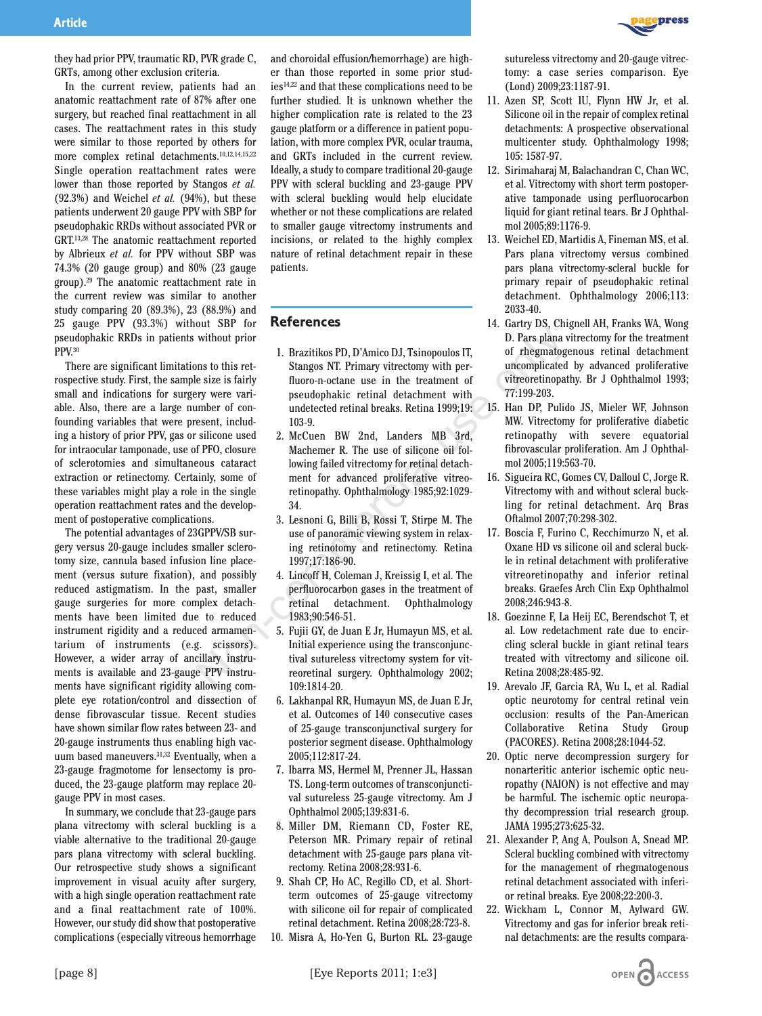

they had prior PPV, traumatic RD, PVR grade C, GRTs, among other exclusion criteria.

In the current review, patients had an anatomic reattachment rate of 87% after one surgery, but reached final reattachment in all cases. The reattachment rates in this study were similar to those reported by others for more complex retinal detachments.10,12,14,15,22 Single operation reattachment rates were lower than those reported by Stangos *et al.* (92.3%) and Weichel *et al.* (94%), but these patients underwent 20 gauge PPV with SBP for pseudophakic RRDs without associated PVR or GRT.13,28 The anatomic reattachment reported by Albrieux *et al.* for PPV without SBP was 74.3% (20 gauge group) and 80% (23 gauge group).29 The anatomic reattachment rate in the current review was similar to another study comparing 20 (89.3%), 23 (88.9%) and 25 gauge PPV (93.3%) without SBP for pseudophakic RRDs in patients without prior PPV.30

There are significant limitations to this retrospective study. First, the sample size is fairly small and indications for surgery were variable. Also, there are a large number of confounding variables that were present, including a history of prior PPV, gas or silicone used for intraocular tamponade, use of PFO, closure of sclerotomies and simultaneous cataract extraction or retinectomy. Certainly, some of these variables might play a role in the single operation reattachment rates and the development of postoperative complications.

The potential advantages of 23GPPV/SB surgery versus 20-gauge includes smaller sclerotomy size, cannula based infusion line placement (versus suture fixation), and possibly reduced astigmatism. In the past, smaller gauge surgeries for more complex detachments have been limited due to reduced instrument rigidity and a reduced armamentarium of instruments (e.g. scissors). However, a wider array of ancillary instruments is available and 23-gauge PPV instruments have significant rigidity allowing complete eye rotation/control and dissection of dense fibrovascular tissue. Recent studies have shown similar flow rates between 23- and 20-gauge instruments thus enabling high vacuum based maneuvers.31,32 Eventually, when a 23-gauge fragmotome for lensectomy is produced, the 23-gauge platform may replace 20 gauge PPV in most cases.

In summary, we conclude that 23-gauge pars plana vitrectomy with scleral buckling is a viable alternative to the traditional 20-gauge pars plana vitrectomy with scleral buckling. Our retrospective study shows a significant improvement in visual acuity after surgery, with a high single operation reattachment rate and a final reattachment rate of 100%. However, our study did show that postoperative complications (especially vitreous hemorrhage and choroidal effusion/hemorrhage) are higher than those reported in some prior studies14,22 and that these complications need to be further studied. It is unknown whether the higher complication rate is related to the 23 gauge platform or a difference in patient population, with more complex PVR, ocular trauma, and GRTs included in the current review. Ideally, a study to compare traditional 20-gauge PPV with scleral buckling and 23-gauge PPV with scleral buckling would help elucidate whether or not these complications are related to smaller gauge vitrectomy instruments and incisions, or related to the highly complex nature of retinal detachment repair in these patients.

### **References**

- 1. Brazitikos PD, D'Amico DJ, Tsinopoulos IT, Stangos NT. Primary vitrectomy with perfluoro-n-octane use in the treatment of pseudophakic retinal detachment with undetected retinal breaks. Retina 1999;19: 103-9. University of the size of the size of the size of the size of the size of the size is faily<br>
Non-n-octane use in the treatment of three-metrionpatical<br>
In Pars plana with the eigize is fairly fluoro-n-octane use in the tre
	- 2. McCuen BW 2nd, Landers MB 3rd, Machemer R. The use of silicone oil following failed vitrectomy for retinal detachment for advanced proliferative vitreoretinopathy. Ophthalmology 1985;92:1029- 34.
	- 3. Lesnoni G, Billi B, Rossi T, Stirpe M. The use of panoramic viewing system in relaxing retinotomy and retinectomy. Retina 1997;17:186-90.
	- 4. Lincoff H, Coleman J, Kreissig I, et al. The perfluorocarbon gases in the treatment of retinal detachment. Ophthalmology 1983;90:546-51.
	- 5. Fujii GY, de Juan E Jr, Humayun MS, et al. Initial experience using the transconjunctival sutureless vitrectomy system for vitreoretinal surgery. Ophthalmology 2002; 109:1814-20.
	- 6. Lakhanpal RR, Humayun MS, de Juan E Jr, et al. Outcomes of 140 consecutive cases of 25-gauge transconjunctival surgery for posterior segment disease. Ophthalmology 2005;112:817-24.
	- 7. Ibarra MS, Hermel M, Prenner JL, Hassan TS. Long-term outcomes of transconjunctival sutureless 25-gauge vitrectomy. Am J Ophthalmol 2005;139:831-6.
	- 8. Miller DM, Riemann CD, Foster RE, Peterson MR. Primary repair of retinal detachment with 25-gauge pars plana vitrectomy. Retina 2008;28:931-6.
	- 9. Shah CP, Ho AC, Regillo CD, et al. Shortterm outcomes of 25-gauge vitrectomy with silicone oil for repair of complicated retinal detachment. Retina 2008;28:723-8.
	- 10. Misra A, Ho-Yen G, Burton RL. 23-gauge

sutureless vitrectomy and 20-gauge vitrectomy: a case series comparison. Eye (Lond) 2009;23:1187-91.

- 11. Azen SP, Scott IU, Flynn HW Jr, et al. Silicone oil in the repair of complex retinal detachments: A prospective observational multicenter study. Ophthalmology 1998; 105: 1587-97.
- 12. Sirimaharaj M, Balachandran C, Chan WC, et al. Vitrectomy with short term postoperative tamponade using perfluorocarbon liquid for giant retinal tears. Br J Ophthalmol 2005;89:1176-9.
- 13. Weichel ED, Martidis A, Fineman MS, et al. Pars plana vitrectomy versus combined pars plana vitrectomy-scleral buckle for primary repair of pseudophakic retinal detachment. Ophthalmology 2006;113: 2033-40.
- 14. Gartry DS, Chignell AH, Franks WA, Wong D. Pars plana vitrectomy for the treatment of rhegmatogenous retinal detachment uncomplicated by advanced proliferative vitreoretinopathy. Br J Ophthalmol 1993; 77:199-203.
- 15. Han DP, Pulido JS, Mieler WF, Johnson MW. Vitrectomy for proliferative diabetic retinopathy with severe equatorial fibrovascular proliferation. Am J Ophthalmol 2005;119:563-70.
- 16. Sigueira RC, Gomes CV, Dalloul C, Jorge R. Vitrectomy with and without scleral buckling for retinal detachment. Arq Bras Oftalmol 2007;70:298-302.
- 17. Boscia F, Furino C, Recchimurzo N, et al. Oxane HD vs silicone oil and scleral buckle in retinal detachment with proliferative vitreoretinopathy and inferior retinal breaks. Graefes Arch Clin Exp Ophthalmol 2008;246:943-8.
- 18. Goezinne F, La Heij EC, Berendschot T, et al. Low redetachment rate due to encircling scleral buckle in giant retinal tears treated with vitrectomy and silicone oil. Retina 2008;28:485-92.
- 19. Arevalo JF, Garcia RA, Wu L, et al. Radial optic neurotomy for central retinal vein occlusion: results of the Pan-American Collaborative Retina Study Group (PACORES). Retina 2008;28:1044-52.
- 20. Optic nerve decompression surgery for nonarteritic anterior ischemic optic neuropathy (NAION) is not effective and may be harmful. The ischemic optic neuropathy decompression trial research group. JAMA 1995;273:625-32.
- 21. Alexander P, Ang A, Poulson A, Snead MP. Scleral buckling combined with vitrectomy for the management of rhegmatogenous retinal detachment associated with inferior retinal breaks. Eye 2008;22:200-3.
- 22. Wickham L, Connor M, Aylward GW. Vitrectomy and gas for inferior break retinal detachments: are the results compara-